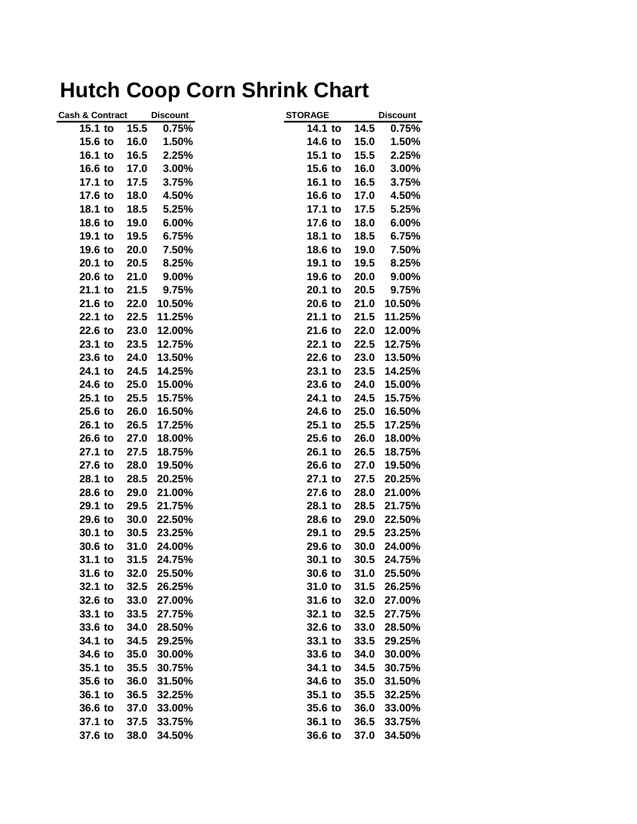## **Hutch Coop Corn Shrink Chart**

| <b>Cash &amp; Contract</b> | <b>Discount</b> | <b>STORAGE</b> | <b>Discount</b> |
|----------------------------|-----------------|----------------|-----------------|
| 15.5<br>15.1 to            | 0.75%           | 14.1 to        | 14.5<br>0.75%   |
| 16.0<br>15.6 to            | 1.50%           | 14.6 to        | 15.0<br>1.50%   |
| 16.1 to<br>16.5            | 2.25%           | 15.1 to        | 15.5<br>2.25%   |
| 16.6 to<br>17.0            | 3.00%           | 15.6 to        | 16.0<br>3.00%   |
| 17.1 to<br>17.5            | 3.75%           | 16.1 to        | 16.5<br>3.75%   |
| 17.6 to<br>18.0            | 4.50%           | 16.6 to        | 17.0<br>4.50%   |
| 18.1 to<br>18.5            | 5.25%           | 17.1 to        | 17.5<br>5.25%   |
| 18.6 to<br>19.0            | 6.00%           | 17.6 to        | 18.0<br>6.00%   |
| 19.1 to<br>19.5            | 6.75%           | 18.1 to        | 18.5<br>6.75%   |
| 19.6 to<br>20.0            | 7.50%           | 18.6 to        | 19.0<br>7.50%   |
| 20.1 to<br>20.5            | 8.25%           | 19.1 to        | 19.5<br>8.25%   |
| 20.6 to<br>21.0            | 9.00%           | 19.6 to        | 20.0<br>9.00%   |
| 21.1 to<br>21.5            | 9.75%           | 20.1 to        | 20.5<br>9.75%   |
| 21.6 to<br>22.0            | 10.50%          | 20.6 to        | 21.0<br>10.50%  |
| 22.1 to<br>22.5            | 11.25%          | 21.1 to        | 21.5<br>11.25%  |
| 22.6 to<br>23.0            | 12.00%          | 21.6 to        | 22.0<br>12.00%  |
| 23.1 to<br>23.5            | 12.75%          | 22.1 to        | 22.5<br>12.75%  |
| 23.6 to<br>24.0            | 13.50%          | 22.6 to        | 23.0<br>13.50%  |
| 24.1 to<br>24.5            | 14.25%          | 23.1 to        | 23.5<br>14.25%  |
| 24.6 to<br>25.0            | 15.00%          | 23.6 to        | 24.0<br>15.00%  |
| 25.1 to<br>25.5            | 15.75%          | 24.1 to        | 24.5<br>15.75%  |
| 25.6 to<br>26.0            | 16.50%          | 24.6 to        | 25.0<br>16.50%  |
| 26.1 to<br>26.5            | 17.25%          | 25.1 to        | 25.5<br>17.25%  |
| 26.6 to<br>27.0            | 18.00%          | 25.6 to        | 26.0<br>18.00%  |
| 27.1 to<br>27.5            | 18.75%          | 26.1 to        | 26.5<br>18.75%  |
| 27.6 to<br>28.0            | 19.50%          | 26.6 to        | 27.0<br>19.50%  |
| 28.1 to<br>28.5            | 20.25%          | 27.1 to        | 27.5<br>20.25%  |
| 28.6 to<br>29.0            | 21.00%          | 27.6 to        | 28.0<br>21.00%  |
| 29.1 to<br>29.5            | 21.75%          | 28.1 to        | 28.5<br>21.75%  |
| 29.6 to<br>30.0            | 22.50%          | 28.6 to        | 29.0<br>22.50%  |
| 30.1 to<br>30.5            | 23.25%          | 29.1 to        | 29.5<br>23.25%  |
| 30.6 to<br>31.0            | 24.00%          | 29.6 to        | 30.0<br>24.00%  |
| 31.1 to<br>31.5            | 24.75%          | 30.1 to        | 30.5<br>24.75%  |
| 31.6 to                    | 32.0 25.50%     | 30.6 to        | 25.50%<br>31.0  |
| 32.1 to                    | 32.5 26.25%     | 31.0 to        | 31.5<br>26.25%  |
| 32.6 to                    | 33.0 27.00%     | 31.6 to        | 32.0<br>27.00%  |
| 33.1 to<br>33.5            | 27.75%          | 32.1 to        | 32.5<br>27.75%  |
| 34.0<br>33.6 to            | 28.50%          | 32.6 to        | 33.0<br>28.50%  |
| 34.1 to<br>34.5            | 29.25%          | 33.1 to        | 33.5<br>29.25%  |
| 34.6 to<br>35.0            | 30.00%          | 33.6 to        | 34.0<br>30.00%  |
| 35.1 to<br>35.5            | 30.75%          | 34.1 to        | 34.5<br>30.75%  |
| 35.6 to<br>36.0            | 31.50%          | 34.6 to        | 35.0<br>31.50%  |
| 36.1 to<br>36.5            | 32.25%          | $35.1$ to      | 35.5<br>32.25%  |
| 36.6 to<br>37.0            | 33.00%          | 35.6 to        | 36.0<br>33.00%  |
| 37.1 to<br>37.5            | 33.75%          | 36.1 to        | 36.5<br>33.75%  |
| 37.6 to<br>38.0            | 34.50%          | 36.6 to        | 37.0<br>34.50%  |